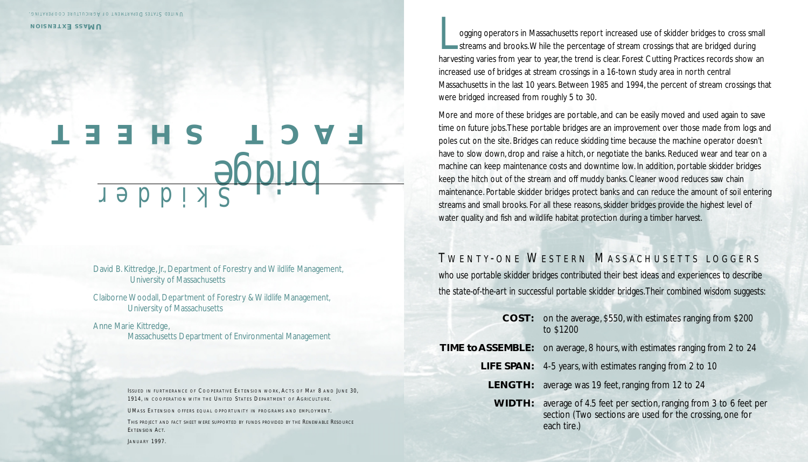## *Skidder* bridge **FACT SHEET**

David B. Kittredge, Jr., Department of Forestry and Wildlife Management, University of Massachusetts

Claiborne Woodall, Department of Forestry & Wildlife Management, University of Massachusetts

Anne Marie Kittredge, Massachusetts Department of Environmental Management

> **ISSUED IN FURTHERANCE OF COOPERATIVE EXTENSION WORK, ACTS OF MAY 8 AND JUNE 30.** 1914, IN COOPERATION WITH THE UNITED STATES DEPARTMENT OF AGRICULTURE .

UMASS EXTENSION OFFERS EQUAL OPPORTUNITY IN PROGRAMS AND EMPLOYMENT.

THIS PROJECT AND FACT SHEET WERE SUPPORTED BY FUNDS PROVIDED BY THE RENEWABLE RESOURCE EXTENSION ACT.

JANUARY 1997.

logging operators in Massachusetts report increased use of skidder bridges to cross small<br>streams and brooks. While the percentage of stream crossings that are bridged during<br>harvesting varies from year to year the trend i streams and brooks.While the percentage of stream crossings that are bridged during harvesting varies from year to year, the trend is clear. Forest Cutting Practices records show an increased use of bridges at stream crossings in a 16-town study area in north central Massachusetts in the last 10 years. Between 1985 and 1994, the percent of stream crossings that were bridged increased from roughly 5 to 30.

More and more of these bridges are portable, and can be easily moved and used again to save time on future jobs.These portable bridges are an improvement over those made from logs and poles cut on the site. Bridges can reduce skidding time because the machine operator doesn't have to slow down, drop and raise a hitch, or negotiate the banks. Reduced wear and tear on a machine can keep maintenance costs and downtime low. In addition, portable skidder bridges keep the hitch out of the stream and off muddy banks. Cleaner wood reduces saw chain maintenance. Portable skidder bridges protect banks and can reduce the amount of soil entering streams and small brooks. For all these reasons, skidder bridges provide the highest level of water quality and fish and wildlife habitat protection during a timber harvest.

## *T WENTY - ONE W ESTERN M ASSACHUSETTS LOGGERS*

*who use portable skidder bridges contributed their best ideas and experiences to describe the state-of-the-art in successful portable skidder bridges.Their combined wisdom suggests:*

- **COST:** on the average, \$550, with estimates ranging from \$200 to \$1200
- **TIME to ASSEMBLE:** on average, 8 hours, with estimates ranging from 2 to 24
	- **LIFE SPAN:** 4-5 years, with estimates ranging from 2 to 10
	- **LENGTH:** average was 19 feet, ranging from 12 to 24
	- **WIDTH:** average of 4.5 feet per section, ranging from 3 to 6 feet per section (Two sections are used for the crossing, one for each tire.)